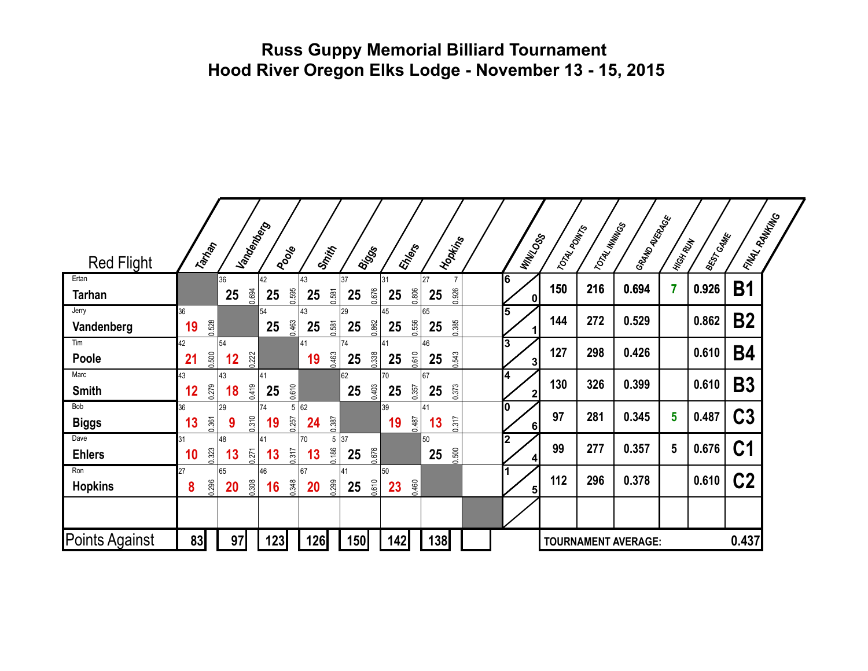### **Russ Guppy Memorial Billiard Tournament Hood River Oregon Elks Lodge - November 13 - 15, 2015**

| <b>Red Flight</b>      | Tarrian           | I andenberg       | <b>Poole</b>           | Smith             | Biggs               | EMers             | I Hopkins         | <b>MANZOSS</b>          | TOTAL POINTS | 1707AL MINITOS | I GRAND AVERAGE            | High Rilly     | <b>BEST GAME</b> | <b>LAVAL RANKING</b> |  |
|------------------------|-------------------|-------------------|------------------------|-------------------|---------------------|-------------------|-------------------|-------------------------|--------------|----------------|----------------------------|----------------|------------------|----------------------|--|
| Ertan<br><b>Tarhan</b> |                   | 36<br>0.694<br>25 | 42<br>0.595<br>25      | 43<br>0.581<br>25 | 37<br>0.676<br>25   | 31<br>0.806<br>25 | 27<br>0.926<br>25 | 6<br>$\mathbf{0}$       | 150          | 216            | 0.694                      | $\overline{7}$ | 0.926            | <b>B1</b>            |  |
| Jerry<br>Vandenberg    | 36<br>0.528<br>19 |                   | 54<br>0.463<br>25      | 43<br>0.581<br>25 | 29<br>0.862<br>25   | 45<br>0.556<br>25 | 65<br>0.385<br>25 | 5                       | 144          | 272            | 0.529                      |                | 0.862            | <b>B2</b>            |  |
| Tim<br>Poole           | 42<br>0.500<br>21 | 54<br>0.222<br>12 |                        | 41<br>0.463<br>19 | 74<br>0.338<br>25   | 41<br>0.610<br>25 | 46<br>0.543<br>25 | 3<br>31                 | 127          | 298            | 0.426                      |                | 0.610            | <b>B4</b>            |  |
| Marc<br><b>Smith</b>   | 43<br>0.279<br>12 | 43<br>0.419<br>18 | 41<br>0.610<br>25      |                   | 62<br>0.403<br>25   | 70<br>0.357<br>25 | 67<br>0.373<br>25 | 4<br>$\mathbf 2$        | 130          | 326            | 0.399                      |                | 0.610            | <b>B3</b>            |  |
| Bob<br><b>Biggs</b>    | 36<br>0.361<br>13 | 29<br>0.310<br>9  | 74<br>5<br>0.257<br>19 | 62<br>0.387<br>24 |                     | 39<br>0.487<br>19 | 41<br>0.317<br>13 | 0<br>6                  | 97           | 281            | 0.345                      | 5              | 0.487            | <b>C3</b>            |  |
| Dave<br><b>Ehlers</b>  | 0.323<br>10       | 48<br>0.271<br>13 | 41<br>0.317<br>13      | 70<br>0.186<br>13 | 5 37<br>0.676<br>25 |                   | 50<br>0.500<br>25 | $\overline{\mathbf{2}}$ | 99           | 277            | 0.357                      | 5              | 0.676            | C <sub>1</sub>       |  |
| Ron<br><b>Hopkins</b>  | 27<br>0.296<br>8  | 65<br>0.308<br>20 | 46<br>0.348<br>16      | 67<br>0.299<br>20 | 41<br>0.610<br>25   | 50<br>0.460<br>23 |                   | 5 <sub>l</sub>          | 112          | 296            | 0.378                      |                | 0.610            | C <sub>2</sub>       |  |
|                        |                   |                   |                        |                   |                     |                   |                   |                         |              |                |                            |                |                  |                      |  |
| <b>Points Against</b>  | 83                | 97                | 123                    | 126               | 150                 | 142               | 138               |                         |              |                | <b>TOURNAMENT AVERAGE:</b> |                |                  | 0.437                |  |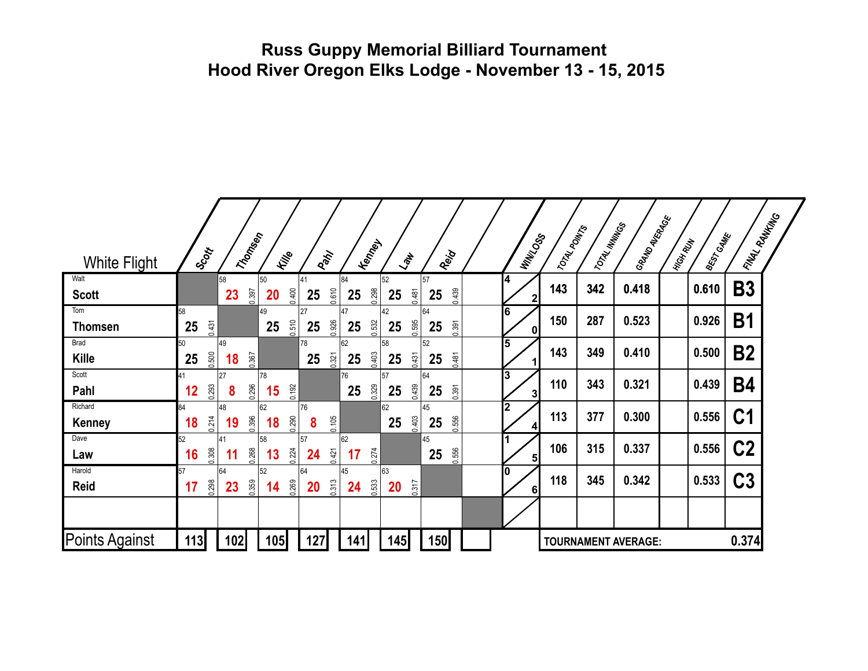### **Russ Guppy Memorial Billiard Tournament Hood River Oregon Elks Lodge - November 13 - 15, 2015**

| <b>White Flight</b>         | Scott             | Triomsen          | File              | Park              | <b>Kenney</b>     | $\langle \partial_\mu$   | Reig              | <b>MANZOSS</b>    | 17074LADINTS | 1707AL MINITOS | GRANDAVERAGE               | BEST CAME<br><b>MIGH RUN</b> | <b>LAVAL RANKING</b> |  |
|-----------------------------|-------------------|-------------------|-------------------|-------------------|-------------------|--------------------------|-------------------|-------------------|--------------|----------------|----------------------------|------------------------------|----------------------|--|
| Walt<br><b>Scott</b>        |                   | 58<br>0.397<br>23 | 50<br>0.400<br>20 | 41<br>0.610<br>25 | 84<br>0.298<br>25 | 52<br>0.481<br>25        | 57<br>0.439<br>25 | 14<br>2           | 143          | 342            | 0.418                      | 0.610                        | <b>B3</b>            |  |
| Tom<br><b>Thomsen</b>       | 58<br>0.431<br>25 |                   | 49<br>0.510<br>25 | 27<br>0.926<br>25 | 47<br>0.532<br>25 | 42<br>0.595<br>25        | 64<br>0.391<br>25 | 6<br>$\mathbf{0}$ | 150          | 287            | 0.523                      | 0.926                        | <b>B1</b>            |  |
| <b>Brad</b><br><b>Kille</b> | 50<br>0.500<br>25 | 49<br>0.367<br>18 |                   | 78<br>0.321<br>25 | 62<br>0.403<br>25 | 58<br>0.431<br>25        | 52<br>0.481<br>25 | 5                 | 143          | 349            | 0.410                      | 0.500                        | <b>B2</b>            |  |
| Scott<br>Pahl               | 41<br>0.293<br>12 | 27<br>0.296<br>8  | 78<br>0.192<br>15 |                   | 76<br>0.329<br>25 | 57<br>0.439<br>25        | 64<br>0.391<br>25 | 3<br>3            | 110          | 343            | 0.321                      | 0.439                        | <b>B4</b>            |  |
| Richard<br><b>Kenney</b>    | 84<br>0.214<br>18 | 48<br>0.396<br>19 | 62<br>0.290<br>18 | 76<br>0.105<br>8  |                   | 62<br>0.403<br>25        | 45<br>0.556<br>25 | 2                 | 113          | 377            | 0.300                      | 0.556                        | C <sub>1</sub>       |  |
| Dave<br>Law                 | 52<br>0.308<br>16 | 41<br>0.268<br>11 | 58<br>0.224<br>13 | 57<br>0.421<br>24 | 62<br>0.274<br>17 |                          | 45<br>0.556<br>25 | 5 <sub>l</sub>    | 106          | 315            | 0.337                      | 0.556                        | C <sub>2</sub>       |  |
| Harold<br>Reid              | 57<br>0.298<br>17 | 64<br>0.359<br>23 | 52<br>0.269<br>14 | 64<br>0.313<br>20 | 45<br>0.533<br>24 | 63<br>0.317<br><b>20</b> |                   | l0<br>6           | 118          | 345            | 0.342                      | 0.533                        | C <sub>3</sub>       |  |
|                             |                   |                   |                   |                   |                   |                          |                   |                   |              |                |                            |                              |                      |  |
| Points Against              | 113               | 102               | 105               | 127               | 141               | 145                      | 150               |                   |              |                | <b>TOURNAMENT AVERAGE:</b> |                              | 0.374                |  |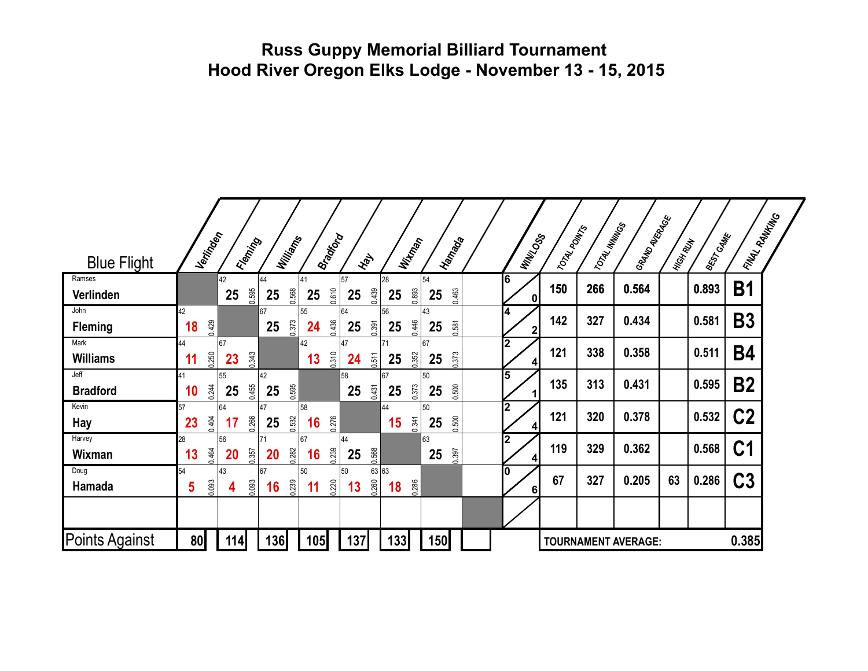### **Russ Guppy Memorial Billiard Tournament Hood River Oregon Elks Lodge - November 13 - 15, 2015**

| <b>Blue Flight</b>      | Vertingen         | Fleming           | Williams          | Bradford          | <b>Hay</b>                 | Witney            | I Hamago          | <b>MANZOSS</b> | 17074LADINTS | 1707AL MINITOS | GRANDAVERAGE               | I HiGH RUW | <b>BEST GAME</b> | <b>LAVAL RANKING</b> |  |
|-------------------------|-------------------|-------------------|-------------------|-------------------|----------------------------|-------------------|-------------------|----------------|--------------|----------------|----------------------------|------------|------------------|----------------------|--|
| Ramses<br>Verlinden     |                   | 42<br>0.595<br>25 | 44<br>0.568<br>25 | 41<br>0.610<br>25 | 57<br>0.439<br>25          | 28<br>0.893<br>25 | 54<br>0.463<br>25 | 16<br>0        | 150          | 266            | 0.564                      |            | 0.893            | <b>B1</b>            |  |
| John<br><b>Fleming</b>  | 42<br>0.429<br>18 |                   | 67<br>0.373<br>25 | 55<br>0.436<br>24 | 64<br>0.391<br>25          | 56<br>0.446<br>25 | 43<br>0.581<br>25 | 14<br>2        | 142          | 327            | 0.434                      |            | 0.581            | <b>B3</b>            |  |
| Mark<br><b>Williams</b> | 44<br>0.250<br>11 | 67<br>0.343<br>23 |                   | 42<br>0.310<br>13 | 47<br>0.511<br>24          | 71<br>0.352<br>25 | 67<br>0.373<br>25 | l2<br>4        | 121          | 338            | 0.358                      |            | 0.511            | <b>B4</b>            |  |
| Jeff<br><b>Bradford</b> | 41<br>0.244<br>10 | 55<br>0.455<br>25 | 42<br>0.595<br>25 |                   | 58<br>0.431<br>25          | 67<br>0.373<br>25 | 50<br>0.500<br>25 | 5              | 135          | 313            | 0.431                      |            | 0.595            | <b>B2</b>            |  |
| Kevin<br>Hay            | 57<br>0.404<br>23 | 64<br>0.266<br>17 | 47<br>0.532<br>25 | 58<br>0.276<br>16 |                            | 44<br>0.341<br>15 | 50<br>0.500<br>25 | $\mathbf 2$    | 121          | 320            | 0.378                      |            | 0.532            | C <sub>2</sub>       |  |
| Harvey<br>Wixman        | 28<br>0.464<br>13 | 56<br>0.357<br>20 | 71<br>0.282<br>20 | 67<br>0.239<br>16 | 44<br>0.568<br>25          |                   | 63<br>0.397<br>25 | $\overline{2}$ | 119          | 329            | 0.362                      |            | 0.568            | C <sub>1</sub>       |  |
| Doug<br>Hamada          | 54<br>0.093<br>5  | 43<br>0.093<br>4  | 67<br>0.239<br>16 | 50<br>0.220<br>11 | 63 63<br>50<br>0.260<br>13 | 0.286<br>18       |                   | l0<br>$6 \mid$ | 67           | 327            | 0.205                      | 63         | 0.286            | C <sub>3</sub>       |  |
|                         |                   |                   |                   |                   |                            |                   |                   |                |              |                |                            |            |                  |                      |  |
| Points Against          | 80                | 114               | 136               | 105               | 137                        | 133               | 150               |                |              |                | <b>TOURNAMENT AVERAGE:</b> |            |                  | 0.385                |  |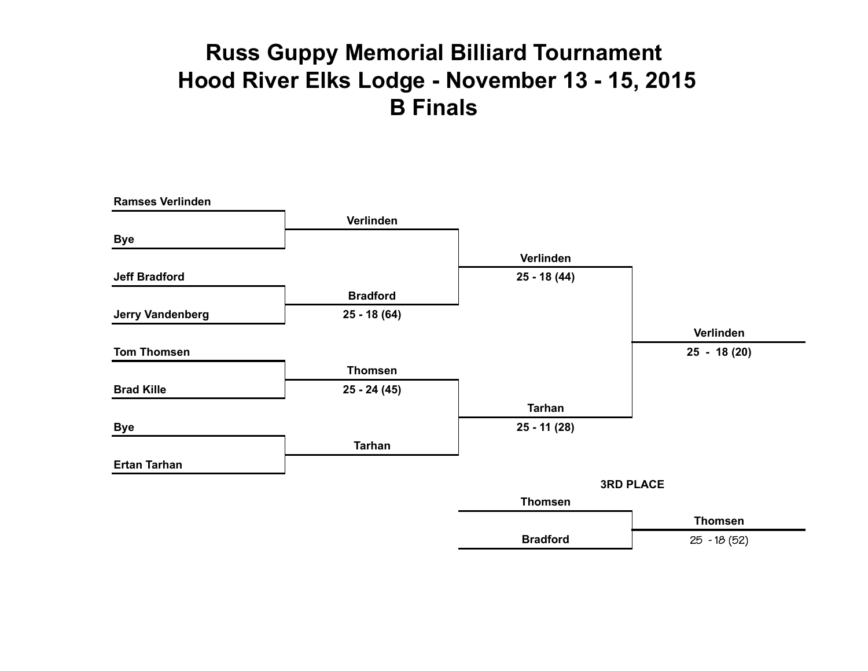# **Russ Guppy Memorial Billiard Tournament Hood River Elks Lodge - November 13 - 15, 2015 B Finals**